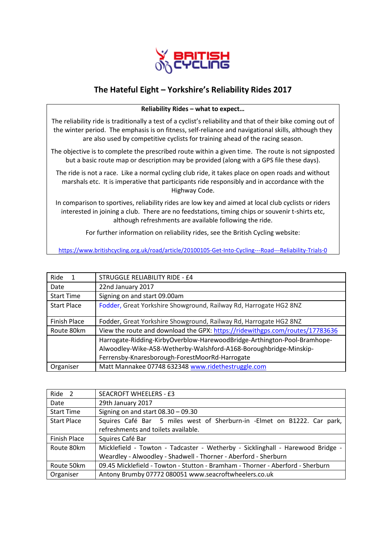

## **The Hateful Eight – Yorkshire's Reliability Rides 2017**

## **Reliability Rides – what to expect…**

The reliability ride is traditionally a test of a cyclist's reliability and that of their bike coming out of the winter period. The emphasis is on fitness, self-reliance and navigational skills, although they are also used by competitive cyclists for training ahead of the racing season.

The objective is to complete the prescribed route within a given time. The route is not signposted but a basic route map or description may be provided (along with a GPS file these days).

The ride is not a race. Like a normal cycling club ride, it takes place on open roads and without marshals etc. It is imperative that participants ride responsibly and in accordance with the Highway Code.

In comparison to sportives, reliability rides are low key and aimed at local club cyclists or riders interested in joining a club. There are no feedstations, timing chips or souvenir t-shirts etc, although refreshments are available following the ride.

For further information on reliability rides, see the British Cycling website:

<https://www.britishcycling.org.uk/road/article/20100105-Get-Into-Cycling---Road---Reliability-Trials-0>

| Ride<br>1          | STRUGGLE RELIABILITY RIDE - £4                                                                                                                                                                  |
|--------------------|-------------------------------------------------------------------------------------------------------------------------------------------------------------------------------------------------|
| Date               | 22nd January 2017                                                                                                                                                                               |
| <b>Start Time</b>  | Signing on and start 09.00am                                                                                                                                                                    |
| <b>Start Place</b> | Fodder, Great Yorkshire Showground, Railway Rd, Harrogate HG2 8NZ                                                                                                                               |
| Finish Place       | Fodder, Great Yorkshire Showground, Railway Rd, Harrogate HG2 8NZ                                                                                                                               |
| Route 80km         | View the route and download the GPX: https://ridewithgps.com/routes/17783636                                                                                                                    |
|                    | Harrogate-Ridding-KirbyOverblow-HarewoodBridge-Arthington-Pool-Bramhope-<br>Alwoodley-Wike-A58-Wetherby-Walshford-A168-Boroughbridge-Minskip-<br>Ferrensby-Knaresborough-ForestMoorRd-Harrogate |
| Organiser          | Matt Mannakee 07748 632348 www.ridethestruggle.com                                                                                                                                              |

| Ride <sub>2</sub>  | <b>SEACROFT WHEELERS - £3</b>                                                  |
|--------------------|--------------------------------------------------------------------------------|
| Date               | 29th January 2017                                                              |
| <b>Start Time</b>  | Signing on and start $08.30 - 09.30$                                           |
| <b>Start Place</b> | Squires Café Bar 5 miles west of Sherburn-in -Elmet on B1222. Car park,        |
|                    | refreshments and toilets available.                                            |
| Finish Place       | Squires Café Bar                                                               |
| Route 80km         | Micklefield - Towton - Tadcaster - Wetherby - Sicklinghall - Harewood Bridge - |
|                    | Weardley - Alwoodley - Shadwell - Thorner - Aberford - Sherburn                |
| Route 50km         | 09.45 Micklefield - Towton - Stutton - Bramham - Thorner - Aberford - Sherburn |
| Organiser          | Antony Brumby 07772 080051 www.seacroftwheelers.co.uk                          |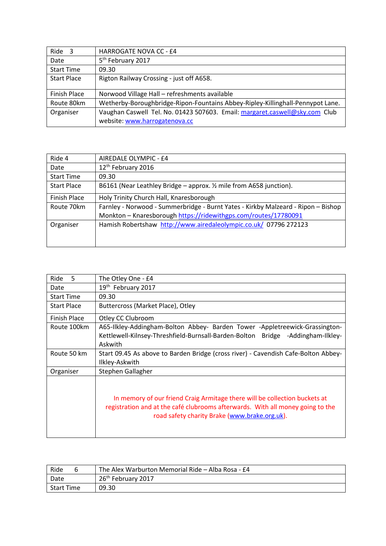| Ride <sub>3</sub>   | <b>HARROGATE NOVA CC - £4</b>                                                  |
|---------------------|--------------------------------------------------------------------------------|
| Date                | 5 <sup>th</sup> February 2017                                                  |
| <b>Start Time</b>   | 09.30                                                                          |
| <b>Start Place</b>  | Rigton Railway Crossing - just off A658.                                       |
|                     |                                                                                |
| <b>Finish Place</b> | Norwood Village Hall - refreshments available                                  |
| Route 80km          | Wetherby-Boroughbridge-Ripon-Fountains Abbey-Ripley-Killinghall-Pennypot Lane. |
| Organiser           | Vaughan Caswell Tel. No. 01423 507603. Email: margaret.caswell@sky.com Club    |
|                     | website: www.harrogatenova.cc                                                  |

| Ride 4             | AIREDALE OLYMPIC - £4                                                                                                                                |
|--------------------|------------------------------------------------------------------------------------------------------------------------------------------------------|
| Date               | 12 <sup>th</sup> February 2016                                                                                                                       |
| <b>Start Time</b>  | 09.30                                                                                                                                                |
| <b>Start Place</b> | B6161 (Near Leathley Bridge – approx. $\frac{1}{2}$ mile from A658 junction).                                                                        |
| Finish Place       | Holy Trinity Church Hall, Knaresborough                                                                                                              |
| Route 70km         | Farnley - Norwood - Summerbridge - Burnt Yates - Kirkby Malzeard - Ripon - Bishop<br>Monkton - Knaresborough https://ridewithgps.com/routes/17780091 |
| Organiser          | Hamish Robertshaw http://www.airedaleolympic.co.uk/ 07796 272123                                                                                     |

| Ride<br>.5         | The Otley One - £4                                                                                                                                                                                            |
|--------------------|---------------------------------------------------------------------------------------------------------------------------------------------------------------------------------------------------------------|
| Date               | 19th February 2017                                                                                                                                                                                            |
| <b>Start Time</b>  | 09.30                                                                                                                                                                                                         |
| <b>Start Place</b> | Buttercross (Market Place), Otley                                                                                                                                                                             |
| Finish Place       | Otley CC Clubroom                                                                                                                                                                                             |
| Route 100km        | A65-Ilkley-Addingham-Bolton Abbey- Barden Tower -Appletreewick-Grassington-<br>Kettlewell-Kilnsey-Threshfield-Burnsall-Barden-Bolton Bridge -Addingham-Ilkley-<br>Askwith                                     |
| Route 50 km        | Start 09.45 As above to Barden Bridge (cross river) - Cavendish Cafe-Bolton Abbey-<br>Ilkley-Askwith                                                                                                          |
| Organiser          | Stephen Gallagher                                                                                                                                                                                             |
|                    | In memory of our friend Craig Armitage there will be collection buckets at<br>registration and at the café clubrooms afterwards. With all money going to the<br>road safety charity Brake (www.brake.org.uk). |

| Ride              | The Alex Warburton Memorial Ride - Alba Rosa - £4 |
|-------------------|---------------------------------------------------|
| Date              | 26 <sup>th</sup> February 2017                    |
| <b>Start Time</b> | 09.30                                             |